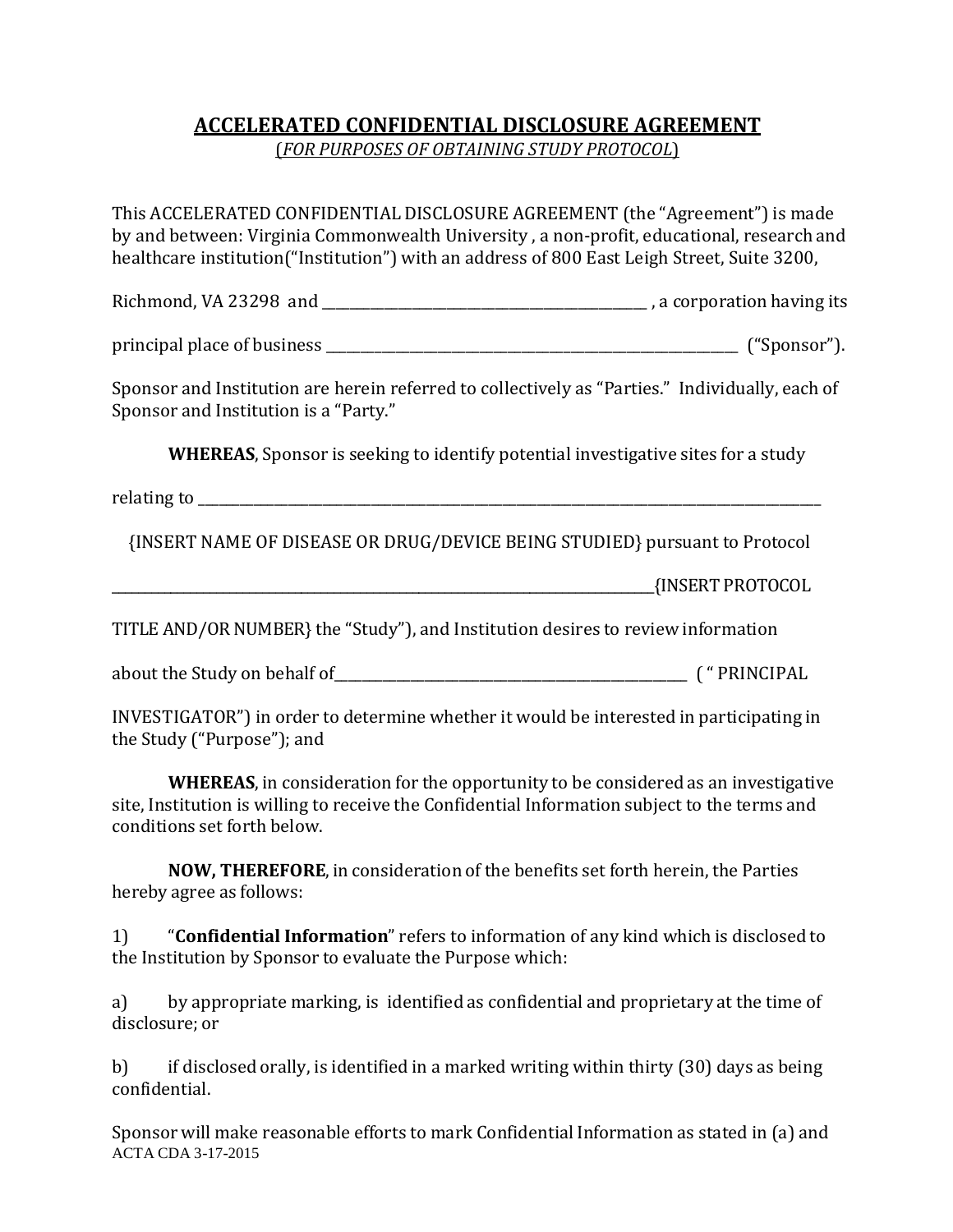## **ACCELERATED CONFIDENTIAL DISCLOSURE AGREEMENT**

(*FOR PURPOSES OF OBTAINING STUDY PROTOCOL*)

This ACCELERATED CONFIDENTIAL DISCLOSURE AGREEMENT (the "Agreement") is made by and between: Virginia Commonwealth University , a non-profit, educational, research and healthcare institution("Institution") with an address of 800 East Leigh Street, Suite 3200,

Richmond, VA 23298 and \_\_\_\_\_\_\_\_\_\_\_\_\_\_\_\_\_\_\_\_\_\_\_\_\_\_\_\_\_\_\_\_\_\_\_\_\_\_\_\_\_\_\_\_\_\_\_ a corporation having its ,

principal place of b usiness \_\_\_\_\_\_\_\_\_\_\_\_\_\_\_\_\_\_\_\_\_\_\_\_\_\_\_\_\_\_\_\_\_\_\_\_\_\_\_\_\_\_\_\_\_\_\_\_\_\_\_\_\_\_\_\_\_\_\_ ("Sponsor").

Sponsor and Institution are herein referred to collectively as "Parties." Individually, each of Sponsor and Institution is a "Party."

**WHEREAS**, Sponsor is seeking to identify potential investigative sites for a study

relating to  $\blacksquare$ 

{INSERT NAME OF DISEASE OR DRUG/DEVICE BEING STUDIED} pursuant to Protocol

\_\_\_\_\_\_\_\_\_\_\_\_\_\_\_\_\_\_\_\_\_\_\_\_\_\_\_\_\_\_\_\_\_\_\_\_\_\_\_\_\_\_\_\_\_\_\_\_\_\_\_\_\_\_\_\_\_\_\_\_\_\_\_\_\_\_\_\_\_\_\_\_\_\_\_\_\_\_\_\_\_\_\_{INSERT PROTOCOL

TITLE AND/OR NUMBER}the "Study"), and Institution desires to review information

about the Study on behalf of\_\_\_\_\_\_\_\_\_\_\_\_\_\_\_\_\_\_\_\_\_\_\_\_\_\_\_\_\_\_\_\_\_\_\_\_\_\_\_\_\_\_\_\_\_\_\_\_\_\_\_ ( " PRINCIPAL

INVESTIGATOR") in order to determine whether it would be interested in participating in the Study ("Purpose"); and

**WHEREAS**, in consideration for the opportunity to be considered as an investigative site, Institution is willing to receive the Confidential Information subject to the terms and conditions set forth below.

**NOW, THEREFORE**, in consideration of the benefits set forth herein, the Parties hereby agree as follows:

1) "**Confidential Information**" refers to information of any kind which is disclosed to the Institution by Sponsor to evaluate the Purpose which:

a) by appropriate marking, is identified as confidential and proprietary at the time of disclosure; or

b) if disclosed orally, is identified in a marked writing within thirty (30) days as being confidential.

Sponsor will make reasonable efforts to mark Confidential Information as stated in (a) and ACTA CDA 3-17-2015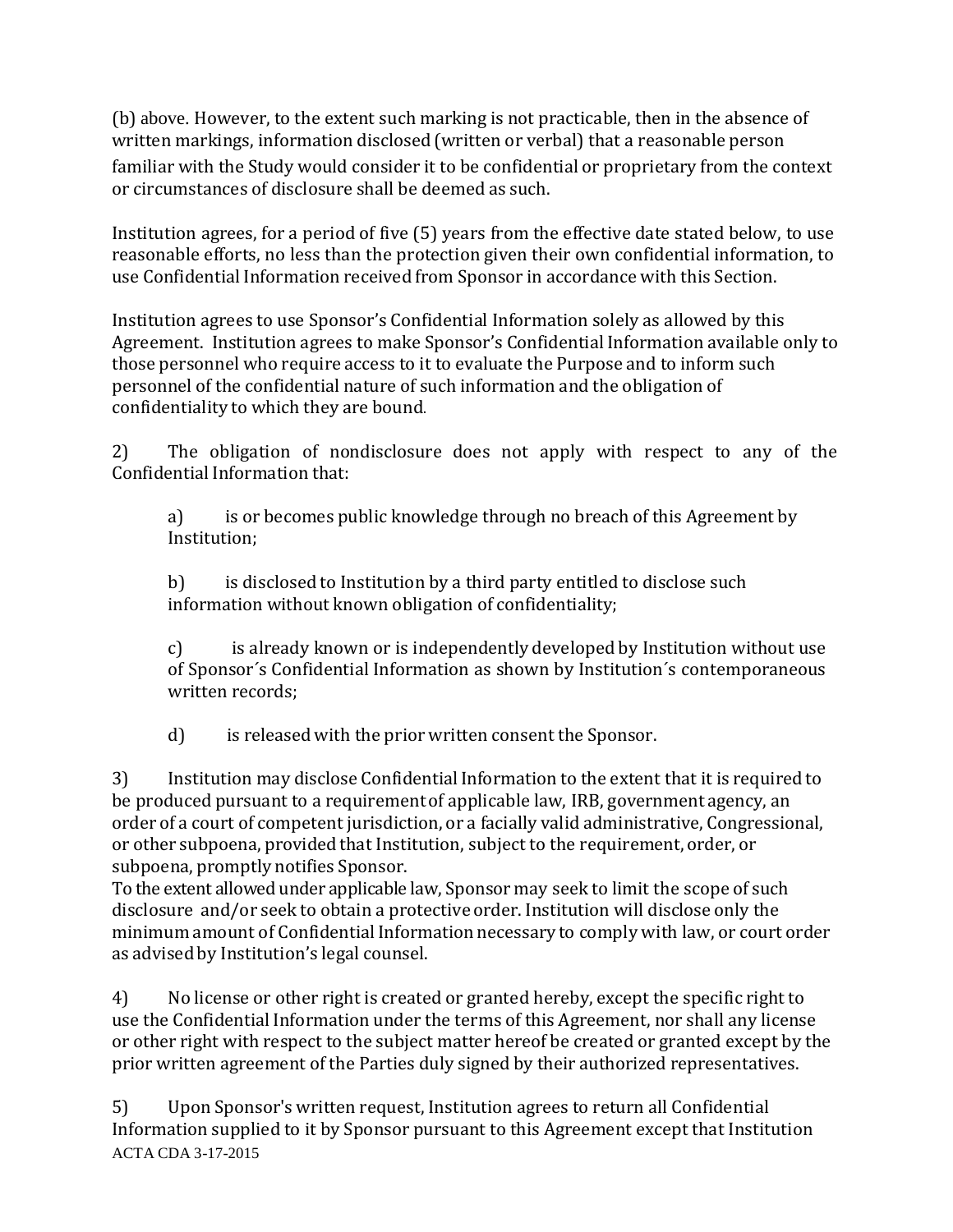(b) above. However, to the extent such marking is not practicable, then in the absence of written markings, information disclosed (written or verbal) that a reasonable person familiar with the Study would consider it to be confidential or proprietary from the context or circumstances of disclosure shall be deemed as such.

Institution agrees, for a period of five (5) years from the effective date stated below, to use reasonable efforts, no less than the protection given their own confidential information, to use Confidential Information received from Sponsor in accordance with this Section.

Institution agrees to use Sponsor's Confidential Information solely as allowed by this Agreement. Institution agrees to make Sponsor's Confidential Information available only to those personnel who require access to it to evaluate the Purpose and to inform such personnel of the confidential nature of such information and the obligation of confidentiality to which they are bound.

2) The obligation of nondisclosure does not apply with respect to any of the Confidential Information that:

a) is or becomes public knowledge through no breach of this Agreement by Institution;

b) is disclosed to Institution by a third party entitled to disclose such information without known obligation of confidentiality;

c) is already known or is independently developed by Institution without use of Sponsor´s Confidential Information as shown by Institution´s contemporaneous written records;

d) is released with the prior written consent the Sponsor.

3) Institution may disclose Confidential Information to the extent that it is requiredto be produced pursuant to a requirementof applicable law, IRB, government agency, an order of a court of competent jurisdiction, or a facially valid administrative, Congressional, or other subpoena, provided that Institution, subject to the requirement, order, or subpoena, promptly notifies Sponsor.

To the extent allowed under applicable law, Sponsor may seek to limit the scope of such disclosure and/or seek to obtain a protective order. Institution will disclose only the minimum amount of Confidential Information necessary to comply with law, or court order as advised by Institution's legal counsel.

4) No license or other right is created or granted hereby, except the specific right to use the Confidential Information under the terms of this Agreement, nor shall any license or other right with respect to the subject matter hereof be created or granted except by the prior written agreement of the Parties duly signed by their authorized representatives.

5) Upon Sponsor's written request, Institution agrees to return all Confidential Information supplied to it by Sponsor pursuant to this Agreement except that Institution ACTA CDA 3-17-2015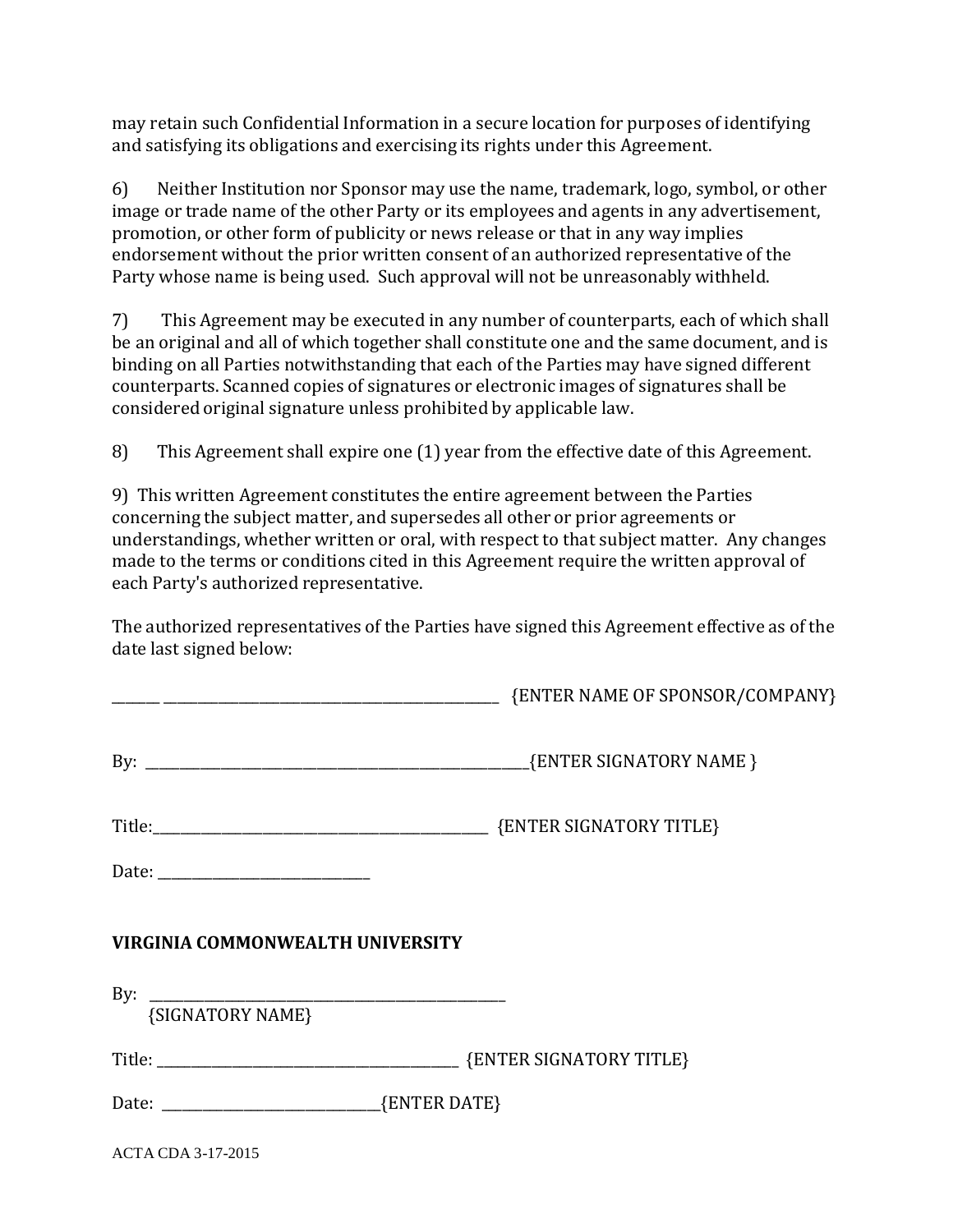may retain such Confidential Information in a secure location for purposes of identifying and satisfying its obligations and exercising its rights under this Agreement.

6) Neither Institution nor Sponsor may use the name, trademark, logo, symbol, or other image or trade name of the other Party or its employees and agents in any advertisement, promotion, or other form of publicity or news release or that in any way implies endorsement without the prior written consent of an authorized representative of the Party whose name is being used. Such approval will not be unreasonably withheld.

7) This Agreement may be executed in any number of counterparts, each of which shall be an original and all of which together shall constitute one and the same document, and is binding on all Parties notwithstanding that each of the Parties may have signed different counterparts. Scanned copies of signatures or electronic images of signatures shall be considered original signature unless prohibited by applicable law.

8) This Agreement shall expire one (1) year from the effective date of this Agreement.

9) This written Agreement constitutes the entire agreement between the Parties concerning the subject matter, and supersedes all other or prior agreements or understandings, whether written or oral, with respect to that subject matter. Any changes made to the terms or conditions cited in this Agreement require the written approval of each Party's authorized representative.

The authorized representatives of the Parties have signed this Agreement effective as of the date last signed below:

|                                         | <b>ENTER NAME OF SPONSOR/COMPANY}</b> |
|-----------------------------------------|---------------------------------------|
|                                         |                                       |
|                                         |                                       |
|                                         |                                       |
| <b>VIRGINIA COMMONWEALTH UNIVERSITY</b> |                                       |
|                                         |                                       |
| {SIGNATORY NAME}                        |                                       |
|                                         |                                       |
|                                         |                                       |
| <b>ACTA CDA 3-17-2015</b>               |                                       |